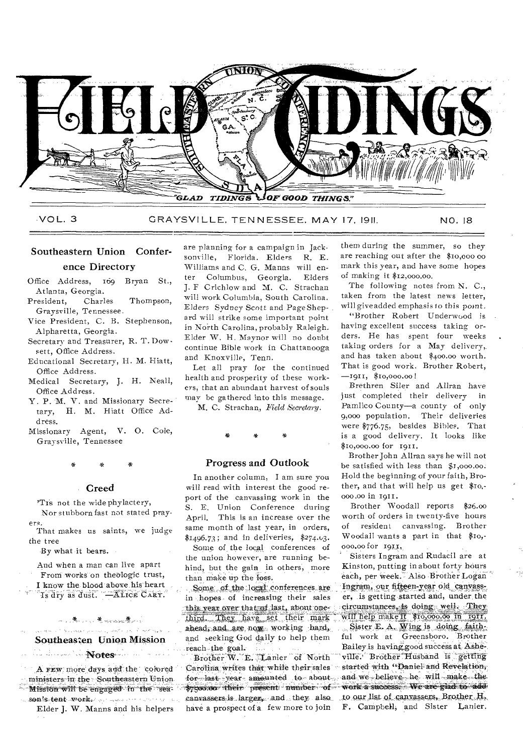

VOL. 3 GRAYSVILLE, TENNESSEE, MAY 17, 1911. NO. 18

# Southeastern Union Conference Directory

Office Address, 169 Bryan St., Atlanta, Georgia.

- President, Charles Thompson, Graysville, Tennessee.
- Vice President, C. B. Stephenson, Alpharetta, Georgia.
- Secretary and Treasurer, R. T. Dowsett, Office Address.
- Educational Secretary, H. M. Hiatt, Office Address.
- Medical Secretary, J. H. Neall, Office Address.
- Y. P. M. V. and Missionary Secretary, H. M. Hiatt Office Address-
- Missionary Agent, V. 0. Cole, Graysville, Tennessee

### Creed

'Tis not the wide phylactery, Nor stubborn fast not stated prayers.

That makes us saints, we judge the tree

-By what -it bears. •

And when a man can live apart

From works on theologic trust,

I know the blood above his heart<br>Is dry as dust. —Affice CARY.

### ~,煮…… 老elendade 卷~~ والمتوارث يرور للاستهار والمسالون ويستردها والمتحدث

# Southeasten Union Mission

idade and de Notes in an

A FEW more days and the colored ministers in the Southeastern Union Mission will be engaged to the sea-

sou's tent work. ,..., Elder J. W. Manns and his helpers

are planning for a campaign in Jacksonville, Florida. Elders R. E. Williams and C. G. Manns will en-<br>ter Columbus. Georgia. Elders Columbus, Georgia. J. F Crichlow and M. C. Strachan will work Columbia, South Carolina. Elders *Sydney Scott* and PageShepard will strike some important point in North Carolina, probably Raleigh. Elder W. H. Maynor will no doubt continue Bible work in Chattanooga and Knoxville, Tenn.

Let all pray for the continued health and prosperity of these workers, that an abundant harvest of souls may be gathered into this message.

M. C. Strachan, Field *Secretary.* 

e

### Progress and Outlook

In another column, I am sure you will read with interest the good report of the canvassing work in the S. E. Union Conference during April. This is an increase over the same month of last year, in orders,  $$1496.73$ ; and in deliveries,  $$274.03$ .

Some of the local conferences of the union however, are running behind, but the gain in others, more than make up the loss.

Some of the local conferences are in , hopes of increasing their sales this year over that of last, about one-<br>third. They have set their mark ahead, and are now working hard. Sister E. A. Wing is doing faithand seeking God daily to help them ful work at Greensboro. Brother

Carolina writes that while their sales started with "Daniel and Revelation;<br>for lest, year, amounted to about and we believe he will make the for last year amounted to about, and we believe he will make the special to add \$7500:00 •their present number of work a success. We are glad to add canvassers is larger, and they also to our list of canvassers. Brother H. canvassers is larger, and they also<br>have a prospect of a few more to join.

them during the summer, so they are reaching out after the \$10,000 00 mark this year, and have some hopes of making it \$12,000.00.

The following notes from N. C., taken from the latest news letter, will give added emphasis to this point.

"Brother Robert Underwood is having excellent success taking orders. He has spent four weeks taking orders for a May delivery, and has taken about \$400.00 worth. That is good work. Brother Robert, -1911, \$10,000.00!

Brethren Slier and Allran have just completed their delivery in Pamlico County—a county of only 9,000 population. Their deliveries were \$776.75, besides Bibles. That is a good delivery. It looks like \$10,000.00 for 1911.

Brother John Allran says he will not be satisfied with less than \$1,000.00. Hold the beginning, of your faith, Brother, and that will help us get \$10,- 000.00 in 1911.

Brother Woodall reports \$26.00 worth of orders in twenty-five hours of resident canvassing. Brother Woodall wants a part in that \$10,- 000.00 for 1913,

Sisters Ingram and Rudacil are at Kinston, putting in about forty hours each, per week. Also Brother Logan Ingram, our fifteen-year old canvasser, is getting started and, under the circumstances, is doing well. They will help make it \$10,000.00 in 1911.

reach the goal. " . Bailey is having good success at Ashe-, Brother W. E. Lanier of North ville. Brother Husband is getting Brother W. E. Lanier of North ville. Brother Husband is getting<br>arolina writes that while their sales started with "Daniel and Revelation, F. Campbell, and Sister Lanier.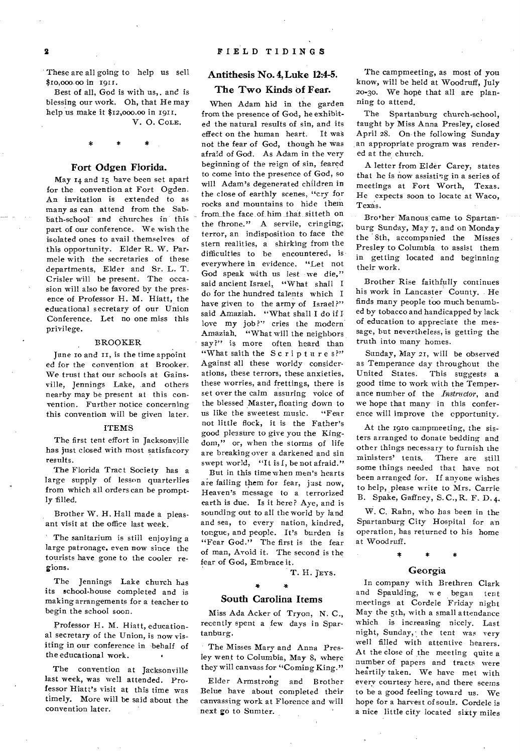These are all going to help us sell \$to,000 00 in 1911.

Best of all, God is with us,. and is blessing our work. Oh, that He may help us make it \$12,000.00 in 1911. V. 0. COLE.

### Fort Odgen Florida.

May 14 and 15 have been set apart for the convention at Fort Ogden. An invitation is extended to as many as can attend from the Sabbath-schooI and churches in this part of our conference. We wish the isolated ones to avail themselves of this opportunity. Elder R. W. Parmele with the secretaries of these departments, Elder and Sr. L. T. Crisler will be present. The occasion will also be favored by the presence of Professor H. M. Hiatt, the educational secretary of our Union Conference. Let no one miss this privilege.

### BROOKER.

June to and it, is the time appoint ed for the convention at Brooker. We trust that our schools at Gainsville, Jennings Lake, and others nearby may be present at this convention. Further notice concerning this convention will be given later.

### ITEMS

The first tent effort in Jacksonville has just closed with most satisfacory results.

The Florida Tract Society has a large supply of lesson quarterlies from which all orders can be promptly filled.

Brother W. H. Hall made a pleasant visit at the office last week.

The sanitarium is still enjoying a large patronage. even now since the tourists have gone to the cooler regions.

The Jennings Lake church has its school-house completed and is making arrangements for a teacher to begin the school soon.

Professor H. M. Hiatt, educational secretary of the Union, is now visiting in our conference in behalf of the educational work.

The convention at Jacksonville last week, was well attended. Professor Hiatt's visit at this time was timely. More will be said about the convention later.

### Antithesis No. 4, Luke 12:4-5.

### The Two Kinds of Fear.

When Adam hid in the garden from the presence of God, he exhibited the natural results of sin, and its effect on the human heart. It was not the fear of God, though he was afraid of God. As Adam in the very beginning of the reign of sin, feared to come into the presence of God, so will Adam's degenerated children in the close of earthly scenes, "cry for rocks and mountains to hide them from the face of him that sitteth on the throne." A servile, cringing, terror, an indisposition to face the stern realities, a shirking from the difficulties to be encountered, is everywhere in evidence. "Let not God speak with us lest we die," said ancient Israel, "What shall **I**  do for the hundred talents which I have given to the army of Israel?" said Amaziah. "What shall I do if I love my job?" cries the modern Amaziah. "What will the neighbors say?" is more often heard than "What saith the Scriptures?" Against all these worldy considerations, these terrors, these anxieties, these worries, and frettings, there is set over the calm assuring voice of the blessed Master, floating down to us like the sweetest music. "Fear not little flock, it is the Father's good pleasure to give you the Kingdom," or, when the storms of life are breaking over a darkened and sin swept world, "It is I, be not afraid."

But in this time when men's hearts are failing them for fear, just now, Heaven's message to a terrorized earth is due. Is it here? Aye, and is sounding out to all the world by land and sea, to every nation, kindred, tongue, and people. It's burden is "Fear God." The first is the fear of man, Avoid it. The second is the fear of God, Embrace it.

T. H. JEYs.

### South Carolina Items

Miss Ada Acker of Tryon, N. C., recently spent a few days in Spartanburg.

The Misses Mary and Anna Presley went to Columbia, May 8, where they will canvass for "Coming King."

Elder Armstrong and Brother Belue have about completed their canvassing work at Florence and will next go to Sumter.

The campmeeting, as most of you know, will be held at Woodruff, July 20-30. We hope that all are planning to attend.

The Spartanburg church-school, taught by Miss Anna Presley, closed April 28. On- the following Sunday an appropriate program was rendered at the church.

A letter from Elder Carey, states that he is now assisting in a series of meetings at Fort Worth, Texas. He expects soon to locate at Waco, Texas.

Brother Manous came to Spartanburg Sunday, May 7, and on Monday the 8th, accompanied the Misses Presley to Columbia to assist them in getting located and beginning their work.

Brother Rise faithfully continues his work in Lancaster County. He finds many people too much benumbed by tobacco and handicapped by lack of education to appreciate the message, but nevertheless, is getting the truth into many homes.

Sunday, May 21, will be observed as Temperance day throughout the United States. This suggests a good time to work with the Temperance number of the *Instructor,* and we hope that many in this conference will improve the opportunity.

At the 1910 campmeeting, the sisters arranged to donate bedding and other things necessary to furnish the ministers' tents. There are still some things needed that have not been arranged for. If anyone wishes to help, please write to Mrs. Carrie B. Spake, Gaffney, S. C., R. F. D.4.

W. C. Rahn, who has been in the Spartanburg City Hospital for an operation, has returned to his home at Woodruff.

# Georgia

\*

In company with Brethren Clark and Spaulding, w e began tent meetings at Cordele Friday night May the 5th, with a small attendance which is increasing nicely. Last night, Sunday, the tent was very well filled with attentive hearers. At the close of the meeting quite a number of papers and tracts were heartily taken. We have met with every courtesy here, and there seems to be a good feeling toward us. We hope for a harvest of souls. Cordele is a nice little city located sixty miles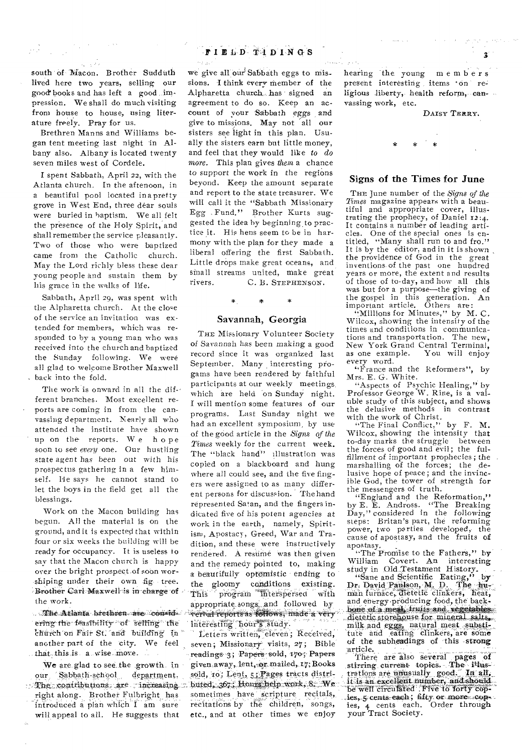south of Macon. Brother Sudduth lived here two years, selling our good books and has left a good .impression. We shall do much visiting from house to house, using literature freely, Pray for us.

 $\sigma_{\rm{max}}$  ,  $\sigma$ 

 $\tau_{\rm L} = 1.2\,\mathrm{GeV}$ 

Brethren Manns and Williams began tent meeting last night in Albany also. Albany is located twenty seven miles west of Cordele.

**I** spent Sabbath, April 22, with the Atlanta church. In the aftenoon, in a beautiful pool located inapretty grove in West End, three dear souls were buried in baptism. We all felt the presence of the Holy Spirit, and shall remember the service pleasantly. Two of those who were baptized came from the Catholic church. May the Lord richly bless these dear young people and sustain **them by**  his grace in the walks of life.

Sabbath, April **29, was** spent with the Alpharetta **church. At** the **close**  of the service **an invitation was extended** for **members, which was responded** to **by a young man who** was received into **the church and** baptized the Sunday **following.** We were all glad to welcome Brother Maxwell . back into the fold.

The work is onward in all the different branches. Most excellent reports are **coming in from** the canvassing department. Nearly all who attended the institute have shown up on **the reports.** We hope soon to **see** *every* one. Our hustling state *agent has* been out with his **prospectus gathering** in a **few himself. Ile says** he cannot stand to let the **boys in** the field get all the blessings.

Work on the Macon building has begun. All the **material is** on the ground, and it is **expected** that within four or six weeks **the building will** be ready for occupancy. **It is** useless to say that the Macon church is happy over the bright prospect of soon worshiping under their own fig. tree. Brother Carl Maxwell is in charge of **the work.** 

.. The Atlanta brethren are considering the feasibility of selling the  $\epsilon$ hurch on Fair St. and building in another **part of** the city. We feel that this is a wise move.

We are glad to see the growth. in our Sabbath-school, department, The contributions are increasing. right along. **Ilrothet Fulbright has**  introduced a plan which I am sure will appeal to all. He suggests that

# **FIELD 74DINGS**

we give all our Sabbath eggs to missions. **I** think every member of the Alpharetta church. has signed an agreement to do so. Keep an account of your Sabbath eggs and give to missions. May not all our sisters see light in this plan. Usually the sisters earn but little money, and feel that they would like *to do more.* This plan gives *them* a chance to support the work in the regions beyond. Keep the amount separate and report to the state treasurer. We will call it the "Sabbath Missionary Egg Fund." Brother Kurts suggested the idea by beginning to practice **it.** His hens seem to be in harmony with the plan for they made a liberal **offering the** first Sabbath. Little **drops make** great oceans, and small **streams united,** make great **rivers. C. B.** STEPHENSON.

# \*

### Savannah, Georgia

THE Missionary Volunteer Society of Savannah **has been** making a good **record since it** was organized **last September.** Many interesting pro**gams have** been rendered by faithful **participants at** our weekly meetings, which are held on Sunday night. I will mention some features of our programs. Last Sunday night we had an excellent symposium, **by use of the** gOod article in the *Signs of the Times* weekly for the **current** week. **The "black** hand" illustration was copied on a blackboard and hung **where** all could see, and the five fingers **were assigned to** as many different **persons for discussion.** The hand **represented Satan,** and the fingers **indicated** five of his potent agencies at work **in the earth,** namely, Spiritism, Apostacy, Greed, War and Tradition, and **these** were instructively rendered. A **resume** was then given and the remedy pointed to, making a beautifully optemistic ending to **the** gloomy **conditions existing.**  program interspersed with **appropriate** songs. and I oilowed **by reports as**  lnteresting hour's study.

Letters written, eleven; Received, seven; Missionary visits, 27; Bible **readings-3i** Papers :sold, 17o;' Papers given away, lent, or mailed, 17; Books sold, ro; Lent, 5; Pages tracts distributed, 367.; Hours help work, 8. We sometimes have scripture recitals, recitations by the children, songs, etc., and at other times we enjoy

hearing the young members present interesting items 'on religious liberty, health reform, canvassing work, etc.

### DAISY TERRY.

 $\mathbf{z}$ 

### Signs of the Times for June

THE June number of the *Signs* of *the Times* magazine appears with a beautiful and appropriate cover, illustrating the prophecy, of Daniel 12:4. It contains a number of leading articles. One of the special ones is entitled, "Many shall run to and fro." It is by the editor, and in it is shown the providence of God in the great inventions of the past one hundred years or more, the extent and results of those of to-day, and how all this was but for a purpose—the giving of the gospel in this **generation. An**  important article. **Others** *are:* 

"Millions for Minutes," **by** M. C. Wilcox, showing the **intensity** of the **times and** conditions **in** communications **and** transportation. The new, New York Grand Central Terminal, **as one** example. You will enjoy every **word.** 

"France and the Reformers", by Mrs. E. G. White.

"Aspects of Psychic Healing," by Professor George W. Rine, is a valuble study of this subject, and shows the delusive methods in contrast with the work of Christ.

"The Final Conflict," by F. M. Wilcox, showing the intensity that to-day marks the struggle between the **forces of** good and evil; the fulfillment of important prophecies; the marshalling of the forces; the delusive hope of peace; and the invincible God, the tower of strength for the messengers of truth.

"England and the Reformation," by E. E. Andross. "The Breaking Day," considered in the following steps: Britan's part, the reforming power, two parties developed, the cause of apostasy, and the fruits of apostasy.

"The Promise to the Fathers," by

William Covert. An interesting<br>study in Old Testament History.<br>"Sane and Scientific Eating," by<br>Dr. David Paulson, M. D. The **hu-**<br>man furnace, dietetic clinkers, heat, and energy producing food, the backbone of a meal, fruits and vegetables **,4ietetie storehouse for mineral salts, ,**  milk and eggs, natural meat substitute and eating clinkers, are some of **the subheadings of 'this 4trorig** 

There are also several pages of<br>stirring current- topics. The **itlus-**<br>trations are unusually good. In all, **It is an excellent number, and should:- -lie well circulated .Fiize to fortY'cop-- Aes, s, cents each; fifty. or more cop**les, 4 cents each. Order through your Tract Society.